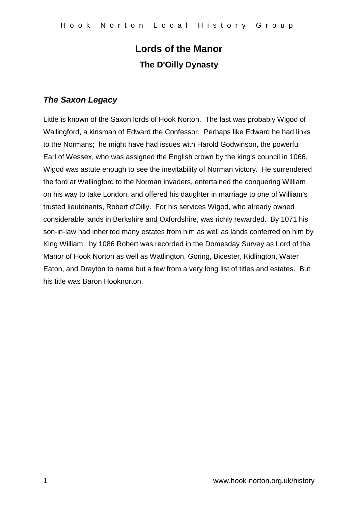# **Lords of the Manor The D'Oilly Dynasty**

## *The Saxon Legacy*

Little is known of the Saxon lords of Hook Norton. The last was probably Wigod of Wallingford, a kinsman of Edward the Confessor. Perhaps like Edward he had links to the Normans; he might have had issues with Harold Godwinson, the powerful Earl of Wessex, who was assigned the English crown by the king's council in 1066. Wigod was astute enough to see the inevitability of Norman victory. He surrendered the ford at Wallingford to the Norman invaders, entertained the conquering William on his way to take London, and offered his daughter in marriage to one of William's trusted lieutenants, Robert d'Oilly. For his services Wigod, who already owned considerable lands in Berkshire and Oxfordshire, was richly rewarded. By 1071 his son-in-law had inherited many estates from him as well as lands conferred on him by King William: by 1086 Robert was recorded in the Domesday Survey as Lord of the Manor of Hook Norton as well as Watlington, Goring, Bicester, Kidlington, Water Eaton, and Drayton to name but a few from a very long list of titles and estates. But his title was Baron Hooknorton.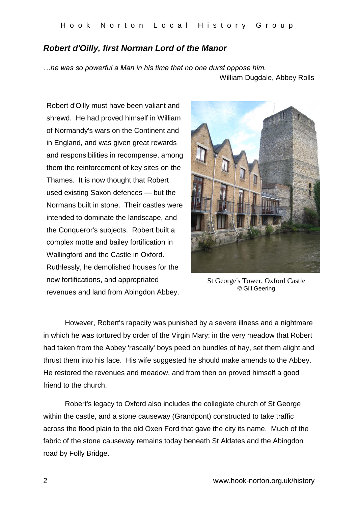### *Robert d'Oilly, first Norman Lord of the Manor*

*…he was so powerful a Man in his time that no one durst oppose him.* William Dugdale, Abbey Rolls

Robert d'Oilly must have been valiant and shrewd. He had proved himself in William of Normandy's wars on the Continent and in England, and was given great rewards and responsibilities in recompense, among them the reinforcement of key sites on the Thames. It is now thought that Robert used existing Saxon defences — but the Normans built in stone. Their castles were intended to dominate the landscape, and the Conqueror's subjects. Robert built a complex motte and bailey fortification in Wallingford and the Castle in Oxford. Ruthlessly, he demolished houses for the new fortifications, and appropriated revenues and land from Abingdon Abbey.



St George's Tower, Oxford Castle © Gill Geering

However, Robert's rapacity was punished by a severe illness and a nightmare in which he was tortured by order of the Virgin Mary: in the very meadow that Robert had taken from the Abbey 'rascally' boys peed on bundles of hay, set them alight and thrust them into his face. His wife suggested he should make amends to the Abbey. He restored the revenues and meadow, and from then on proved himself a good friend to the church.

Robert's legacy to Oxford also includes the collegiate church of St George within the castle, and a stone causeway (Grandpont) constructed to take traffic across the flood plain to the old Oxen Ford that gave the city its name. Much of the fabric of the stone causeway remains today beneath St Aldates and the Abingdon road by Folly Bridge.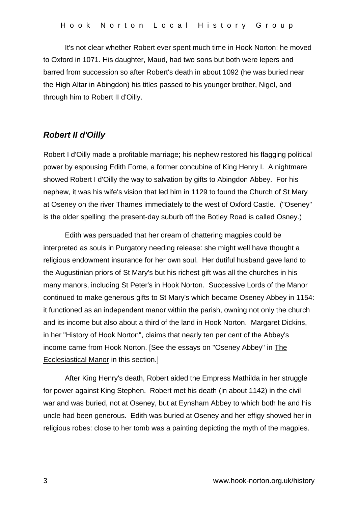It's not clear whether Robert ever spent much time in Hook Norton: he moved to Oxford in 1071. His daughter, Maud, had two sons but both were lepers and barred from succession so after Robert's death in about 1092 (he was buried near the High Altar in Abingdon) his titles passed to his younger brother, Nigel, and through him to Robert II d'Oilly.

### *Robert II d'Oilly*

Robert I d'Oilly made a profitable marriage; his nephew restored his flagging political power by espousing Edith Forne, a former concubine of King Henry I. A nightmare showed Robert I d'Oilly the way to salvation by gifts to Abingdon Abbey. For his nephew, it was his wife's vision that led him in 1129 to found the Church of St Mary at Oseney on the river Thames immediately to the west of Oxford Castle. ("Oseney" is the older spelling: the present-day suburb off the Botley Road is called Osney.)

Edith was persuaded that her dream of chattering magpies could be interpreted as souls in Purgatory needing release: she might well have thought a religious endowment insurance for her own soul. Her dutiful husband gave land to the Augustinian priors of St Mary's but his richest gift was all the churches in his many manors, including St Peter's in Hook Norton. Successive Lords of the Manor continued to make generous gifts to St Mary's which became Oseney Abbey in 1154: it functioned as an independent manor within the parish, owning not only the church and its income but also about a third of the land in Hook Norton. Margaret Dickins, in her "History of Hook Norton", claims that nearly ten per cent of the Abbey's income came from Hook Norton. [See the essays on "Oseney Abbey" in The Ecclesiastical Manor in this section.]

After King Henry's death, Robert aided the Empress Mathilda in her struggle for power against King Stephen. Robert met his death (in about 1142) in the civil war and was buried, not at Oseney, but at Eynsham Abbey to which both he and his uncle had been generous. Edith was buried at Oseney and her effigy showed her in religious robes: close to her tomb was a painting depicting the myth of the magpies.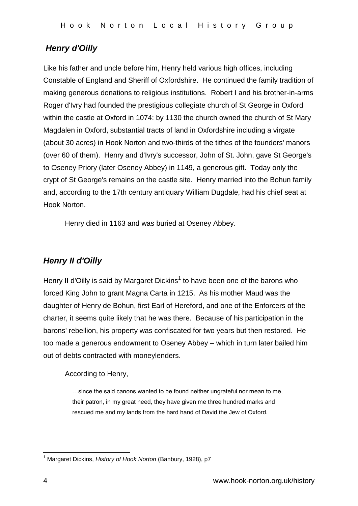## *Henry d'Oilly*

Like his father and uncle before him, Henry held various high offices, including Constable of England and Sheriff of Oxfordshire. He continued the family tradition of making generous donations to religious institutions. Robert I and his brother-in-arms Roger d'Ivry had founded the prestigious collegiate church of St George in Oxford within the castle at Oxford in 1074: by 1130 the church owned the church of St Mary Magdalen in Oxford, substantial tracts of land in Oxfordshire including a virgate (about 30 acres) in Hook Norton and two-thirds of the tithes of the founders' manors (over 60 of them). Henry and d'Ivry's successor, John of St. John, gave St George's to Oseney Priory (later Oseney Abbey) in 1149, a generous gift. Today only the crypt of St George's remains on the castle site. Henry married into the Bohun family and, according to the 17th century antiquary William Dugdale, had his chief seat at Hook Norton.

Henry died in 1163 and was buried at Oseney Abbey.

## *Henry II d'Oilly*

Henry II d'Oilly is said by Margaret Dickins<sup>1</sup> to have been one of the barons who forced King John to grant Magna Carta in 1215. As his mother Maud was the daughter of Henry de Bohun, first Earl of Hereford, and one of the Enforcers of the charter, it seems quite likely that he was there. Because of his participation in the barons' rebellion, his property was confiscated for two years but then restored. He too made a generous endowment to Oseney Abbey – which in turn later bailed him out of debts contracted with moneylenders.

According to Henry,

…since the said canons wanted to be found neither ungrateful nor mean to me, their patron, in my great need, they have given me three hundred marks and rescued me and my lands from the hard hand of David the Jew of Oxford.

 $\overline{1}$ <sup>1</sup> Margaret Dickins, *History of Hook Norton* (Banbury, 1928), p7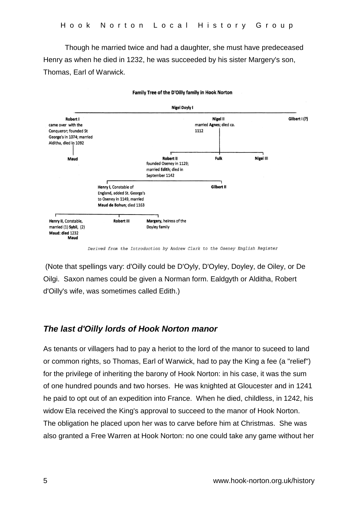Though he married twice and had a daughter, she must have predeceased Henry as when he died in 1232, he was succeeded by his sister Margery's son, Thomas, Earl of Warwick.



Family Tree of the D'Oilly family in Hook Norton

Derived from the Introduction by Andrew Clark to the Oseney English Register

(Note that spellings vary: d'Oilly could be D'Oyly, D'Oyley, Doyley, de Oiley, or De Oilgi. Saxon names could be given a Norman form. Ealdgyth or Alditha, Robert d'Oilly's wife, was sometimes called Edith.)

#### *The last d'Oilly lords of Hook Norton manor*

As tenants or villagers had to pay a heriot to the lord of the manor to suceed to land or common rights, so Thomas, Earl of Warwick, had to pay the King a fee (a "relief") for the privilege of inheriting the barony of Hook Norton: in his case, it was the sum of one hundred pounds and two horses. He was knighted at Gloucester and in 1241 he paid to opt out of an expedition into France. When he died, childless, in 1242, his widow Ela received the King's approval to succeed to the manor of Hook Norton. The obligation he placed upon her was to carve before him at Christmas. She was also granted a Free Warren at Hook Norton: no one could take any game without her